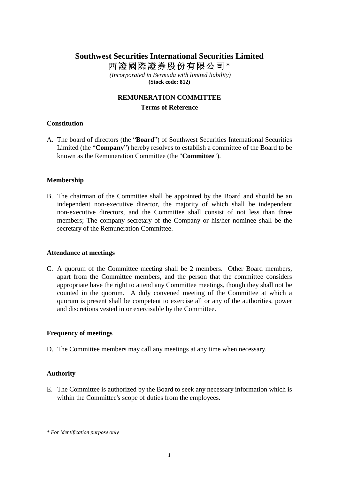# **Southwest Securities International Securities Limited** 西證國際證券股份有限公司 \*

*(Incorporated in Bermuda with limited liability)* **(Stock code: 812)**

# **REMUNERATION COMMITTEE Terms of Reference**

## **Constitution**

A. The board of directors (the "**Board**") of Southwest Securities International Securities Limited (the "**Company**") hereby resolves to establish a committee of the Board to be known as the Remuneration Committee (the "**Committee**").

### **Membership**

B. The chairman of the Committee shall be appointed by the Board and should be an independent non-executive director, the majority of which shall be independent non-executive directors, and the Committee shall consist of not less than three members; The company secretary of the Company or his/her nominee shall be the secretary of the Remuneration Committee.

#### **Attendance at meetings**

C. A quorum of the Committee meeting shall be 2 members. Other Board members, apart from the Committee members, and the person that the committee considers appropriate have the right to attend any Committee meetings, though they shall not be counted in the quorum. A duly convened meeting of the Committee at which a quorum is present shall be competent to exercise all or any of the authorities, power and discretions vested in or exercisable by the Committee.

#### **Frequency of meetings**

D. The Committee members may call any meetings at any time when necessary.

#### **Authority**

E. The Committee is authorized by the Board to seek any necessary information which is within the Committee's scope of duties from the employees.

*<sup>\*</sup> For identification purpose only*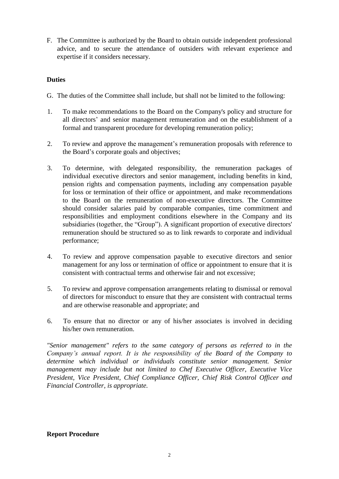F. The Committee is authorized by the Board to obtain outside independent professional advice, and to secure the attendance of outsiders with relevant experience and expertise if it considers necessary.

### **Duties**

- G. The duties of the Committee shall include, but shall not be limited to the following:
- 1. To make recommendations to the Board on the Company's policy and structure for all directors' and senior management remuneration and on the establishment of a formal and transparent procedure for developing remuneration policy;
- 2. To review and approve the management's remuneration proposals with reference to the Board's corporate goals and objectives;
- 3. To determine, with delegated responsibility, the remuneration packages of individual executive directors and senior management, including benefits in kind, pension rights and compensation payments, including any compensation payable for loss or termination of their office or appointment, and make recommendations to the Board on the remuneration of non-executive directors. The Committee should consider salaries paid by comparable companies, time commitment and responsibilities and employment conditions elsewhere in the Company and its subsidiaries (together, the "Group"). A significant proportion of executive directors' remuneration should be structured so as to link rewards to corporate and individual performance;
- 4. To review and approve compensation payable to executive directors and senior management for any loss or termination of office or appointment to ensure that it is consistent with contractual terms and otherwise fair and not excessive;
- 5. To review and approve compensation arrangements relating to dismissal or removal of directors for misconduct to ensure that they are consistent with contractual terms and are otherwise reasonable and appropriate; and
- 6. To ensure that no director or any of his/her associates is involved in deciding his/her own remuneration.

*"Senior management" refers to the same category of persons as referred to in the Company's annual report. It is the responsibility of the Board of the Company to determine which individual or individuals constitute senior management. Senior management may include but not limited to Chef Executive Officer, Executive Vice President, Vice President, Chief Compliance Officer, Chief Risk Control Officer and Financial Controller, is appropriate.*

## **Report Procedure**